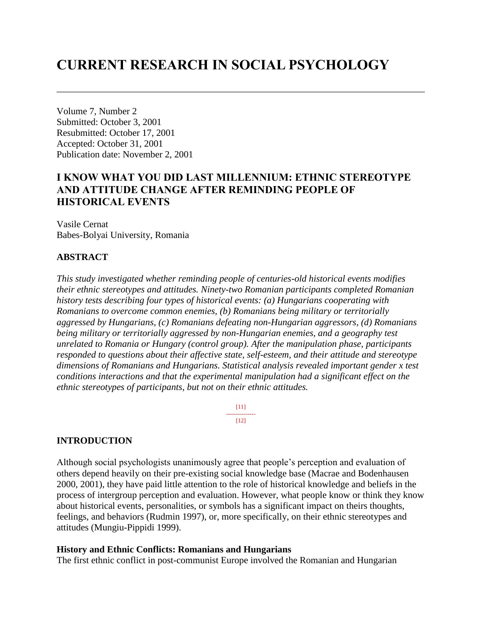# **CURRENT RESEARCH IN SOCIAL PSYCHOLOGY**

Volume 7, Number 2 Submitted: October 3, 2001 Resubmitted: October 17, 2001 Accepted: October 31, 2001 Publication date: November 2, 2001

# **I KNOW WHAT YOU DID LAST MILLENNIUM: ETHNIC STEREOTYPE AND ATTITUDE CHANGE AFTER REMINDING PEOPLE OF HISTORICAL EVENTS**

Vasile Cernat Babes-Bolyai University, Romania

# **ABSTRACT**

*This study investigated whether reminding people of centuries-old historical events modifies their ethnic stereotypes and attitudes. Ninety-two Romanian participants completed Romanian history tests describing four types of historical events: (a) Hungarians cooperating with Romanians to overcome common enemies, (b) Romanians being military or territorially aggressed by Hungarians, (c) Romanians defeating non-Hungarian aggressors, (d) Romanians being military or territorially aggressed by non-Hungarian enemies, and a geography test unrelated to Romania or Hungary (control group). After the manipulation phase, participants responded to questions about their affective state, self-esteem, and their attitude and stereotype dimensions of Romanians and Hungarians. Statistical analysis revealed important gender x test conditions interactions and that the experimental manipulation had a significant effect on the ethnic stereotypes of participants, but not on their ethnic attitudes.*

> [11] ---------------  $[12]$

#### **INTRODUCTION**

Although social psychologists unanimously agree that people's perception and evaluation of others depend heavily on their pre-existing social knowledge base (Macrae and Bodenhausen 2000, 2001), they have paid little attention to the role of historical knowledge and beliefs in the process of intergroup perception and evaluation. However, what people know or think they know about historical events, personalities, or symbols has a significant impact on theirs thoughts, feelings, and behaviors (Rudmin 1997), or, more specifically, on their ethnic stereotypes and attitudes (Mungiu-Pippidi 1999).

#### **History and Ethnic Conflicts: Romanians and Hungarians**

The first ethnic conflict in post-communist Europe involved the Romanian and Hungarian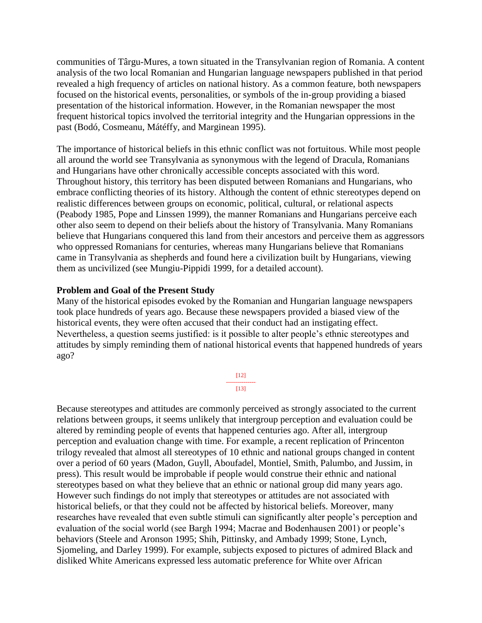communities of Târgu-Mures, a town situated in the Transylvanian region of Romania. A content analysis of the two local Romanian and Hungarian language newspapers published in that period revealed a high frequency of articles on national history. As a common feature, both newspapers focused on the historical events, personalities, or symbols of the in-group providing a biased presentation of the historical information. However, in the Romanian newspaper the most frequent historical topics involved the territorial integrity and the Hungarian oppressions in the past (Bodó, Cosmeanu, Mátéffy, and Marginean 1995).

The importance of historical beliefs in this ethnic conflict was not fortuitous. While most people all around the world see Transylvania as synonymous with the legend of Dracula, Romanians and Hungarians have other chronically accessible concepts associated with this word. Throughout history, this territory has been disputed between Romanians and Hungarians, who embrace conflicting theories of its history. Although the content of ethnic stereotypes depend on realistic differences between groups on economic, political, cultural, or relational aspects (Peabody 1985, Pope and Linssen 1999), the manner Romanians and Hungarians perceive each other also seem to depend on their beliefs about the history of Transylvania. Many Romanians believe that Hungarians conquered this land from their ancestors and perceive them as aggressors who oppressed Romanians for centuries, whereas many Hungarians believe that Romanians came in Transylvania as shepherds and found here a civilization built by Hungarians, viewing them as uncivilized (see Mungiu-Pippidi 1999, for a detailed account).

#### **Problem and Goal of the Present Study**

Many of the historical episodes evoked by the Romanian and Hungarian language newspapers took place hundreds of years ago. Because these newspapers provided a biased view of the historical events, they were often accused that their conduct had an instigating effect. Nevertheless, a question seems justified: is it possible to alter people's ethnic stereotypes and attitudes by simply reminding them of national historical events that happened hundreds of years ago?

> [12] ---------------  $[13]$

Because stereotypes and attitudes are commonly perceived as strongly associated to the current relations between groups, it seems unlikely that intergroup perception and evaluation could be altered by reminding people of events that happened centuries ago. After all, intergroup perception and evaluation change with time. For example, a recent replication of Princenton trilogy revealed that almost all stereotypes of 10 ethnic and national groups changed in content over a period of 60 years (Madon, Guyll, Aboufadel, Montiel, Smith, Palumbo, and Jussim, in press). This result would be improbable if people would construe their ethnic and national stereotypes based on what they believe that an ethnic or national group did many years ago. However such findings do not imply that stereotypes or attitudes are not associated with historical beliefs, or that they could not be affected by historical beliefs. Moreover, many researches have revealed that even subtle stimuli can significantly alter people's perception and evaluation of the social world (see Bargh 1994; Macrae and Bodenhausen 2001) or people's behaviors (Steele and Aronson 1995; Shih, Pittinsky, and Ambady 1999; Stone, Lynch, Sjomeling, and Darley 1999). For example, subjects exposed to pictures of admired Black and disliked White Americans expressed less automatic preference for White over African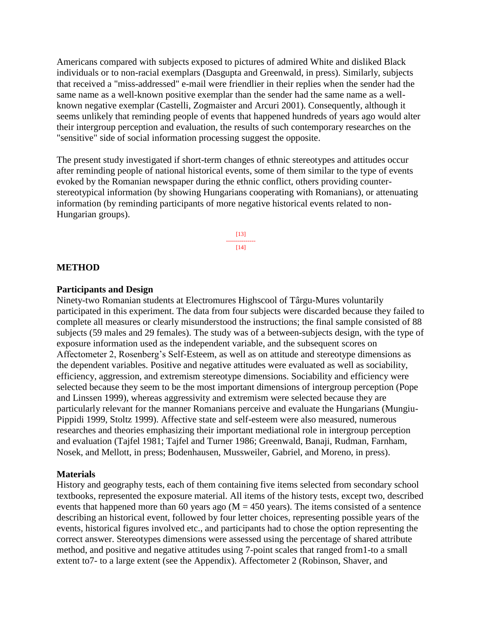Americans compared with subjects exposed to pictures of admired White and disliked Black individuals or to non-racial exemplars (Dasgupta and Greenwald, in press). Similarly, subjects that received a "miss-addressed" e-mail were friendlier in their replies when the sender had the same name as a well-known positive exemplar than the sender had the same name as a wellknown negative exemplar (Castelli, Zogmaister and Arcuri 2001). Consequently, although it seems unlikely that reminding people of events that happened hundreds of years ago would alter their intergroup perception and evaluation, the results of such contemporary researches on the "sensitive" side of social information processing suggest the opposite.

The present study investigated if short-term changes of ethnic stereotypes and attitudes occur after reminding people of national historical events, some of them similar to the type of events evoked by the Romanian newspaper during the ethnic conflict, others providing counterstereotypical information (by showing Hungarians cooperating with Romanians), or attenuating information (by reminding participants of more negative historical events related to non-Hungarian groups).

> [13] ---------------  $[14]$

#### **METHOD**

#### **Participants and Design**

Ninety-two Romanian students at Electromures Highscool of Târgu-Mures voluntarily participated in this experiment. The data from four subjects were discarded because they failed to complete all measures or clearly misunderstood the instructions; the final sample consisted of 88 subjects (59 males and 29 females). The study was of a between-subjects design, with the type of exposure information used as the independent variable, and the subsequent scores on Affectometer 2, Rosenberg's Self-Esteem, as well as on attitude and stereotype dimensions as the dependent variables. Positive and negative attitudes were evaluated as well as sociability, efficiency, aggression, and extremism stereotype dimensions. Sociability and efficiency were selected because they seem to be the most important dimensions of intergroup perception (Pope and Linssen 1999), whereas aggressivity and extremism were selected because they are particularly relevant for the manner Romanians perceive and evaluate the Hungarians (Mungiu-Pippidi 1999, Stoltz 1999). Affective state and self-esteem were also measured, numerous researches and theories emphasizing their important mediational role in intergroup perception and evaluation (Tajfel 1981; Tajfel and Turner 1986; Greenwald, Banaji, Rudman, Farnham, Nosek, and Mellott, in press; Bodenhausen, Mussweiler, Gabriel, and Moreno, in press).

#### **Materials**

History and geography tests, each of them containing five items selected from secondary school textbooks, represented the exposure material. All items of the history tests, except two, described events that happened more than 60 years ago ( $M = 450$  years). The items consisted of a sentence describing an historical event, followed by four letter choices, representing possible years of the events, historical figures involved etc., and participants had to chose the option representing the correct answer. Stereotypes dimensions were assessed using the percentage of shared attribute method, and positive and negative attitudes using 7-point scales that ranged from1-to a small extent to7- to a large extent (see the Appendix). Affectometer 2 (Robinson, Shaver, and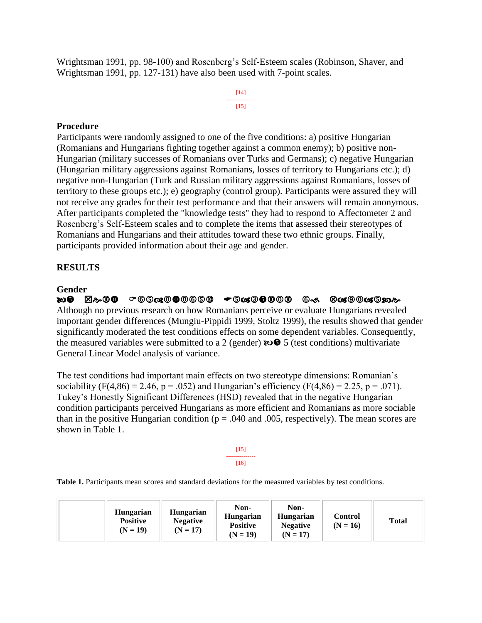Wrightsman 1991, pp. 98-100) and Rosenberg's Self-Esteem scales (Robinson, Shaver, and Wrightsman 1991, pp. 127-131) have also been used with 7-point scales.

> [14] --------------- [15]

#### **Procedure**

Participants were randomly assigned to one of the five conditions: a) positive Hungarian (Romanians and Hungarians fighting together against a common enemy); b) positive non-Hungarian (military successes of Romanians over Turks and Germans); c) negative Hungarian (Hungarian military aggressions against Romanians, losses of territory to Hungarians etc.); d) negative non-Hungarian (Turk and Russian military aggressions against Romanians, losses of territory to these groups etc.); e) geography (control group). Participants were assured they will not receive any grades for their test performance and that their answers will remain anonymous. After participants completed the "knowledge tests" they had to respond to Affectometer 2 and Rosenberg's Self-Esteem scales and to complete the items that assessed their stereotypes of Romanians and Hungarians and their attitudes toward these two ethnic groups. Finally, participants provided information about their age and gender.

#### **RESULTS**

#### **Gender**

**DO E&OO ∽©©œ©O©©©© ←©œ©O©©©** ©< ©œ©©œ©® Although no previous research on how Romanians perceive or evaluate Hungarians revealed important gender differences (Mungiu-Pippidi 1999, Stoltz 1999), the results showed that gender significantly moderated the test conditions effects on some dependent variables. Consequently, the measured variables were submitted to a 2 (gender)  $\mathbf{5}$  (test conditions) multivariate General Linear Model analysis of variance.

The test conditions had important main effects on two stereotype dimensions: Romanian's sociability (F(4,86) = 2.46, p = .052) and Hungarian's efficiency (F(4,86) = 2.25, p = .071). Tukey's Honestly Significant Differences (HSD) revealed that in the negative Hungarian condition participants perceived Hungarians as more efficient and Romanians as more sociable than in the positive Hungarian condition ( $p = .040$  and  $.005$ , respectively). The mean scores are shown in Table 1.

> [15] --------------- [16]

**Table 1.** Participants mean scores and standard deviations for the measured variables by test conditions.

| Hungarian<br><b>Positive</b><br>$(N = 19)$ | Non-<br>Hungarian<br>Hungarian<br><b>Negative</b><br><b>Positive</b><br>$(N = 17)$<br>$(N = 19)$ | Non-<br><b>Hungarian</b><br><b>Negative</b><br>$(N = 17)$ | Control<br>$(N = 16)$ | <b>Total</b> |
|--------------------------------------------|--------------------------------------------------------------------------------------------------|-----------------------------------------------------------|-----------------------|--------------|
|--------------------------------------------|--------------------------------------------------------------------------------------------------|-----------------------------------------------------------|-----------------------|--------------|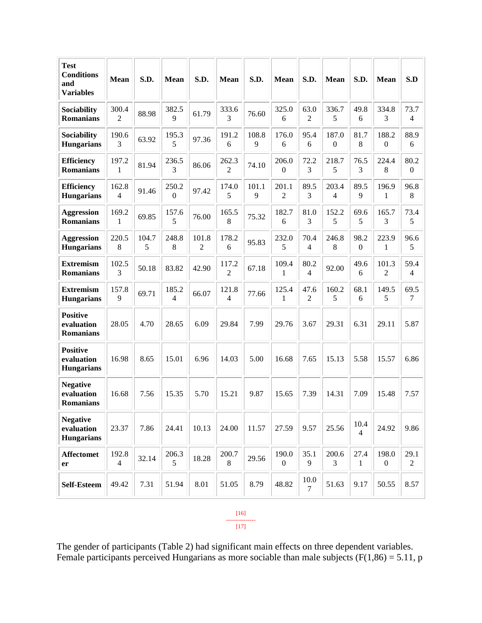| Test<br><b>Conditions</b><br>and<br><b>Variables</b> | <b>Mean</b>             | S.D.       | Mean       | S.D.                    | <b>Mean</b>                       | S.D.       | Mean                    | S.D.                   | Mean                    | S.D.                   | <b>Mean</b>               | S.D                      |
|------------------------------------------------------|-------------------------|------------|------------|-------------------------|-----------------------------------|------------|-------------------------|------------------------|-------------------------|------------------------|---------------------------|--------------------------|
| Sociability<br><b>Romanians</b>                      | 300.4<br>$\overline{2}$ | 88.98      | 382.5<br>9 | 61.79                   | 333.6<br>3                        | 76.60      | 325.0<br>6              | 63.0<br>$\overline{2}$ | 336.7<br>5              | 49.8<br>6              | 334.8<br>3                | 73.7<br>$\overline{4}$   |
| Sociability<br><b>Hungarians</b>                     | 190.6<br>3              | 63.92      | 195.3<br>5 | 97.36                   | 191.2<br>6                        | 108.8<br>9 | 176.0<br>6              | 95.4<br>6              | 187.0<br>$\overline{0}$ | 81.7<br>8              | 188.2<br>$\mathbf{0}$     | 88.9<br>6                |
| <b>Efficiency</b><br><b>Romanians</b>                | 197.2<br>1              | 81.94      | 236.5<br>3 | 86.06                   | 262.3<br>2                        | 74.10      | 206.0<br>$\mathbf{0}$   | 72.2<br>3              | 218.7<br>5              | 76.5<br>3              | 224.4<br>8                | 80.2<br>$\boldsymbol{0}$ |
| <b>Efficiency</b><br><b>Hungarians</b>               | 162.8<br>4              | 91.46      | 250.2<br>0 | 97.42                   | 174.0<br>5                        | 101.1<br>9 | 201.1<br>$\overline{2}$ | 89.5<br>3              | 203.4<br>4              | 89.5<br>9              | 196.9<br>1                | 96.8<br>8                |
| <b>Aggression</b><br><b>Romanians</b>                | 169.2<br>1              | 69.85      | 157.6<br>5 | 76.00                   | 165.5<br>8                        | 75.32      | 182.7<br>6              | 81.0<br>3              | 152.2<br>5              | 69.6<br>5              | 165.7<br>3                | 73.4<br>5                |
| <b>Aggression</b><br><b>Hungarians</b>               | 220.5<br>8              | 104.7<br>5 | 248.8<br>8 | 101.8<br>$\mathfrak{2}$ | 178.2<br>6                        | 95.83      | 232.0<br>5              | 70.4<br>4              | 246.8<br>8              | 98.2<br>$\theta$       | 223.9<br>1                | 96.6<br>5                |
| <b>Extremism</b><br><b>Romanians</b>                 | 102.5<br>3              | 50.18      | 83.82      | 42.90                   | 117.2<br>$\overline{c}$           | 67.18      | 109.4<br>1              | 80.2<br>$\overline{4}$ | 92.00                   | 49.6<br>6              | 101.3<br>2                | 59.4<br>$\overline{4}$   |
| <b>Extremism</b><br><b>Hungarians</b>                | 157.8<br>9              | 69.71      | 185.2<br>4 | 66.07                   | 121.8<br>$\overline{\mathcal{L}}$ | 77.66      | 125.4<br>1              | 47.6<br>$\overline{2}$ | 160.2<br>5              | 68.1<br>6              | 149.5<br>5                | 69.5<br>$\tau$           |
| <b>Positive</b><br>evaluation<br><b>Romanians</b>    | 28.05                   | 4.70       | 28.65      | 6.09                    | 29.84                             | 7.99       | 29.76                   | 3.67                   | 29.31                   | 6.31                   | 29.11                     | 5.87                     |
| <b>Positive</b><br>evaluation<br><b>Hungarians</b>   | 16.98                   | 8.65       | 15.01      | 6.96                    | 14.03                             | 5.00       | 16.68                   | 7.65                   | 15.13                   | 5.58                   | 15.57                     | 6.86                     |
| <b>Negative</b><br>evaluation<br><b>Romanians</b>    | 16.68                   | 7.56       | 15.35      | 5.70                    | 15.21                             | 9.87       | 15.65                   | 7.39                   | 14.31                   | 7.09                   | 15.48                     | 7.57                     |
| <b>Negative</b><br>evaluation<br><b>Hungarians</b>   | 23.37                   | 7.86       | 24.41      | 10.13                   | 24.00                             | 11.57      | 27.59                   | 9.57                   | 25.56                   | 10.4<br>$\overline{4}$ | 24.92                     | 9.86                     |
| <b>Affectomet</b><br>er                              | 192.8<br>$\overline{4}$ | 32.14      | 206.3<br>5 | 18.28                   | 200.7<br>8                        | 29.56      | 190.0<br>$\mathbf{0}$   | 35.1<br>9              | 200.6<br>3              | 27.4<br>1              | 198.0<br>$\boldsymbol{0}$ | 29.1<br>$\overline{2}$   |
| Self-Esteem                                          | 49.42                   | 7.31       | 51.94      | 8.01                    | 51.05                             | 8.79       | 48.82                   | 10.0<br>7              | 51.63                   | 9.17                   | 50.55                     | 8.57                     |

The gender of participants (Table 2) had significant main effects on three dependent variables. Female participants perceived Hungarians as more sociable than male subjects  $(F(1,86) = 5.11, p$ 

[16] --------------- [17]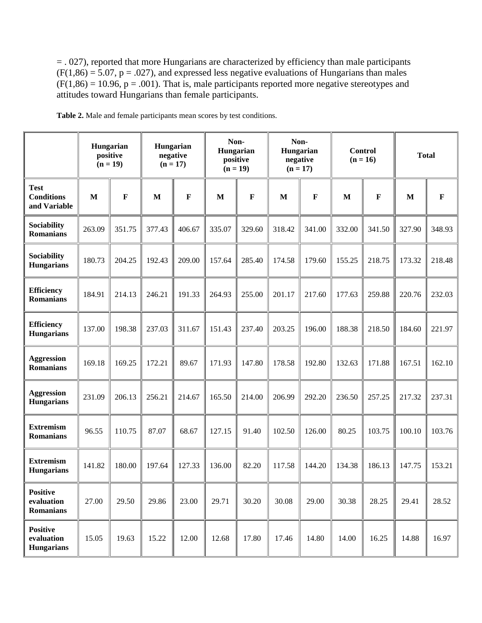= . 027), reported that more Hungarians are characterized by efficiency than male participants  $(F(1,86) = 5.07, p = .027)$ , and expressed less negative evaluations of Hungarians than males  $(F(1,86) = 10.96, p = .001)$ . That is, male participants reported more negative stereotypes and attitudes toward Hungarians than female participants.

|                                                    | Hungarian<br>positive | $(n = 19)$  | Hungarian<br>negative | $(n = 17)$  | Non-<br>Hungarian<br>positive | $(n = 19)$  | Non-<br>Hungarian<br>negative | $(n = 17)$   | <b>Control</b><br>$(n = 16)$ |             |        | <b>Total</b> |
|----------------------------------------------------|-----------------------|-------------|-----------------------|-------------|-------------------------------|-------------|-------------------------------|--------------|------------------------------|-------------|--------|--------------|
| <b>Test</b><br><b>Conditions</b><br>and Variable   | $\mathbf{M}$          | $\mathbf F$ | M                     | $\mathbf F$ | M                             | $\mathbf F$ | M                             | $\mathbf{F}$ | M                            | $\mathbf F$ | M      | $\mathbf F$  |
| Sociability<br><b>Romanians</b>                    | 263.09                | 351.75      | 377.43                | 406.67      | 335.07                        | 329.60      | 318.42                        | 341.00       | 332.00                       | 341.50      | 327.90 | 348.93       |
| Sociability<br><b>Hungarians</b>                   | 180.73                | 204.25      | 192.43                | 209.00      | 157.64                        | 285.40      | 174.58                        | 179.60       | 155.25                       | 218.75      | 173.32 | 218.48       |
| <b>Efficiency</b><br><b>Romanians</b>              | 184.91                | 214.13      | 246.21                | 191.33      | 264.93                        | 255.00      | 201.17                        | 217.60       | 177.63                       | 259.88      | 220.76 | 232.03       |
| <b>Efficiency</b><br><b>Hungarians</b>             | 137.00                | 198.38      | 237.03                | 311.67      | 151.43                        | 237.40      | 203.25                        | 196.00       | 188.38                       | 218.50      | 184.60 | 221.97       |
| <b>Aggression</b><br><b>Romanians</b>              | 169.18                | 169.25      | 172.21                | 89.67       | 171.93                        | 147.80      | 178.58                        | 192.80       | 132.63                       | 171.88      | 167.51 | 162.10       |
| <b>Aggression</b><br><b>Hungarians</b>             | 231.09                | 206.13      | 256.21                | 214.67      | 165.50                        | 214.00      | 206.99                        | 292.20       | 236.50                       | 257.25      | 217.32 | 237.31       |
| <b>Extremism</b><br><b>Romanians</b>               | 96.55                 | 110.75      | 87.07                 | 68.67       | 127.15                        | 91.40       | 102.50                        | 126.00       | 80.25                        | 103.75      | 100.10 | 103.76       |
| <b>Extremism</b><br><b>Hungarians</b>              | 141.82                | 180.00      | 197.64                | 127.33      | 136.00                        | 82.20       | 117.58                        | 144.20       | 134.38                       | 186.13      | 147.75 | 153.21       |
| <b>Positive</b><br>evaluation<br>Romanians         | 27.00                 | 29.50       | 29.86                 | 23.00       | 29.71                         | 30.20       | 30.08                         | 29.00        | 30.38                        | 28.25       | 29.41  | 28.52        |
| <b>Positive</b><br>evaluation<br><b>Hungarians</b> | 15.05                 | 19.63       | 15.22                 | 12.00       | 12.68                         | 17.80       | 17.46                         | 14.80        | 14.00                        | 16.25       | 14.88  | 16.97        |

**Table 2.** Male and female participants mean scores by test conditions.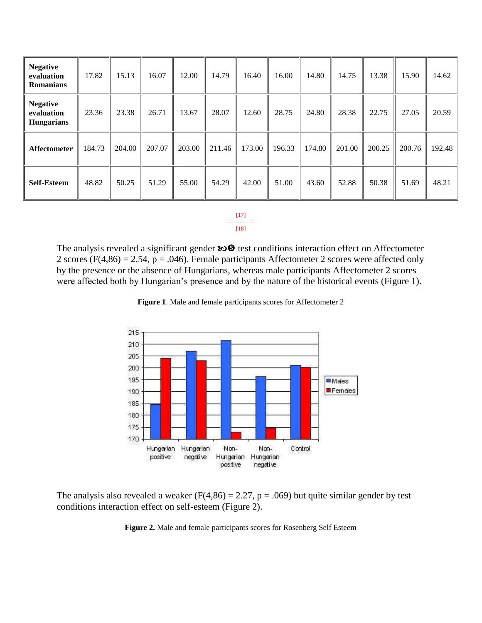| <b>Negative</b><br>evaluation<br><b>Romanians</b>  | 17.82  | 15.13  | 16.07  | 12.00  | 14.79  | 16.40  | 16.00  | 14.80  | 14.75  | 13.38  | 15.90  | 14.62  |
|----------------------------------------------------|--------|--------|--------|--------|--------|--------|--------|--------|--------|--------|--------|--------|
| <b>Negative</b><br>evaluation<br><b>Hungarians</b> | 23.36  | 23.38  | 26.71  | 13.67  | 28.07  | 12.60  | 28.75  | 24.80  | 28.38  | 22.75  | 27.05  | 20.59  |
| Affectometer                                       | 184.73 | 204.00 | 207.07 | 203.00 | 211.46 | 173.00 | 196.33 | 174.80 | 201.00 | 200.25 | 200.76 | 192.48 |
| <b>Self-Esteem</b>                                 | 48.82  | 50.25  | 51.29  | 55.00  | 54.29  | 42.00  | 51.00  | 43.60  | 52.88  | 50.38  | 51.69  | 48.21  |

[17] ---------------  $[18]$ 

The analysis revealed a significant gender  $\mathbf{E} \odot \mathbf{E}$  test conditions interaction effect on Affectometer 2 scores ( $F(4,86) = 2.54$ ,  $p = .046$ ). Female participants Affectometer 2 scores were affected only by the presence or the absence of Hungarians, whereas male participants Affectometer 2 scores were affected both by Hungarian's presence and by the nature of the historical events (Figure 1).



**Figure 1**. Male and female participants scores for Affectometer 2

The analysis also revealed a weaker ( $F(4,86) = 2.27$ ,  $p = .069$ ) but quite similar gender by test conditions interaction effect on self-esteem (Figure 2).

**Figure 2.** Male and female participants scores for Rosenberg Self Esteem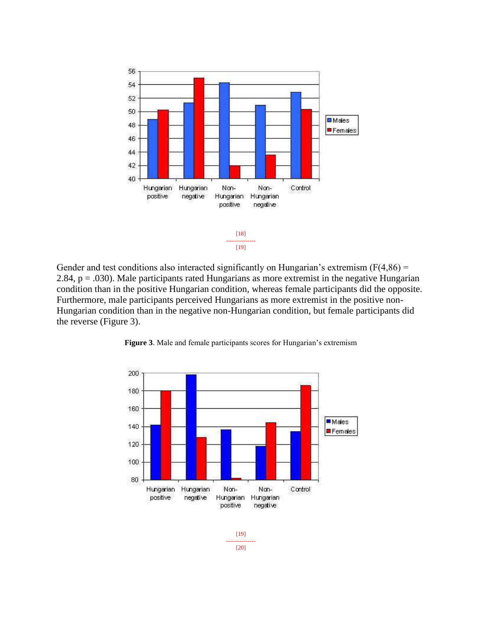

Gender and test conditions also interacted significantly on Hungarian's extremism  $(F(4,86) =$ 2.84,  $p = .030$ ). Male participants rated Hungarians as more extremist in the negative Hungarian condition than in the positive Hungarian condition, whereas female participants did the opposite. Furthermore, male participants perceived Hungarians as more extremist in the positive non-Hungarian condition than in the negative non-Hungarian condition, but female participants did the reverse (Figure 3).



**Figure 3**. Male and female participants scores for Hungarian's extremism

--------------- [20]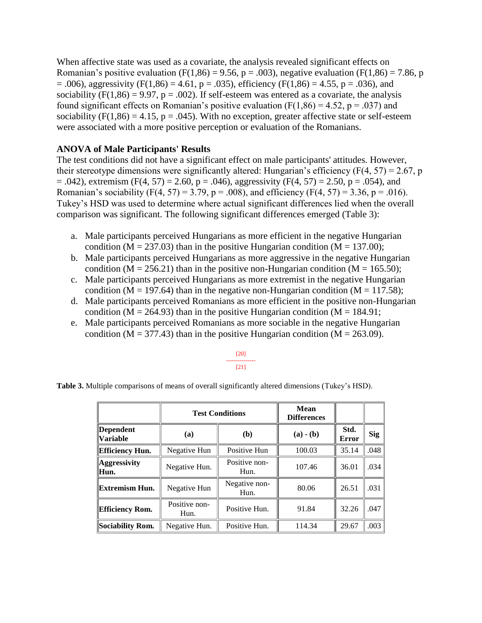When affective state was used as a covariate, the analysis revealed significant effects on Romanian's positive evaluation (F(1,86) = 9.56, p = .003), negative evaluation (F(1,86) = 7.86, p  $= .006$ ), aggressivity (F(1,86) = 4.61, p = .035), efficiency (F(1,86) = 4.55, p = .036), and sociability ( $F(1,86) = 9.97$ ,  $p = .002$ ). If self-esteem was entered as a covariate, the analysis found significant effects on Romanian's positive evaluation ( $F(1,86) = 4.52$ ,  $p = .037$ ) and sociability ( $F(1,86) = 4.15$ ,  $p = .045$ ). With no exception, greater affective state or self-esteem were associated with a more positive perception or evaluation of the Romanians.

### **ANOVA of Male Participants' Results**

The test conditions did not have a significant effect on male participants' attitudes. However, their stereotype dimensions were significantly altered: Hungarian's efficiency ( $F(4, 57) = 2.67$ , p  $= .042$ ), extremism (F(4, 57) = 2.60, p = .046), aggressivity (F(4, 57) = 2.50, p = .054), and Romanian's sociability (F(4, 57) = 3.79, p = .008), and efficiency (F(4, 57) = 3.36, p = .016). Tukey's HSD was used to determine where actual significant differences lied when the overall comparison was significant. The following significant differences emerged (Table 3):

- a. Male participants perceived Hungarians as more efficient in the negative Hungarian condition ( $M = 237.03$ ) than in the positive Hungarian condition ( $M = 137.00$ );
- b. Male participants perceived Hungarians as more aggressive in the negative Hungarian condition (M = 256.21) than in the positive non-Hungarian condition (M = 165.50);
- c. Male participants perceived Hungarians as more extremist in the negative Hungarian condition ( $M = 197.64$ ) than in the negative non-Hungarian condition ( $M = 117.58$ );
- d. Male participants perceived Romanians as more efficient in the positive non-Hungarian condition ( $M = 264.93$ ) than in the positive Hungarian condition ( $M = 184.91$ ;
- e. Male participants perceived Romanians as more sociable in the negative Hungarian condition ( $M = 377.43$ ) than in the positive Hungarian condition ( $M = 263.09$ ).

**Table 3.** Multiple comparisons of means of overall significantly altered dimensions (Tukey's HSD).

|                              |                       | <b>Test Conditions</b> | Mean<br><b>Differences</b> |                      |            |
|------------------------------|-----------------------|------------------------|----------------------------|----------------------|------------|
| Dependent<br><b>Variable</b> | (a)                   | ( <b>b</b> )           | $(a) - (b)$                | Std.<br><b>Error</b> | <b>Sig</b> |
| Efficiency Hun.              | Negative Hun          | Positive Hun           | 100.03                     | 35.14                | .048       |
| Aggressivity<br>Hun.         | Negative Hun.         | Positive non-<br>Hun.  | 107.46                     | 36.01                | .034       |
| Extremism Hun.               | Negative Hun          | Negative non-<br>Hun.  | 80.06                      | 26.51                | .031       |
| <b>Efficiency Rom.</b>       | Positive non-<br>Hun. |                        | 91.84                      | 32.26                | .047       |
| Sociability Rom.             | Negative Hun.         | Positive Hun.          | 114.34                     | 29.67                | .003       |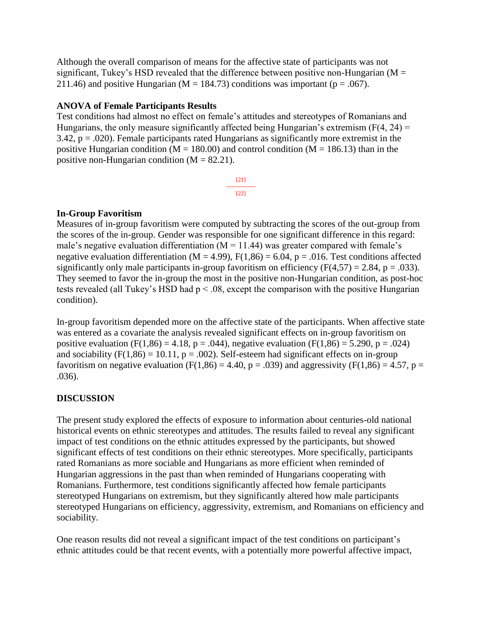Although the overall comparison of means for the affective state of participants was not significant, Tukey's HSD revealed that the difference between positive non-Hungarian ( $M =$ 211.46) and positive Hungarian ( $M = 184.73$ ) conditions was important ( $p = .067$ ).

# **ANOVA of Female Participants Results**

Test conditions had almost no effect on female's attitudes and stereotypes of Romanians and Hungarians, the only measure significantly affected being Hungarian's extremism  $(F(4, 24) =$ 3.42,  $p = .020$ ). Female participants rated Hungarians as significantly more extremist in the positive Hungarian condition ( $M = 180.00$ ) and control condition ( $M = 186.13$ ) than in the positive non-Hungarian condition  $(M = 82.21)$ .

> [21] --------------- [22]

# **In-Group Favoritism**

Measures of in-group favoritism were computed by subtracting the scores of the out-group from the scores of the in-group. Gender was responsible for one significant difference in this regard: male's negative evaluation differentiation ( $M = 11.44$ ) was greater compared with female's negative evaluation differentiation ( $M = 4.99$ ),  $F(1,86) = 6.04$ ,  $p = .016$ . Test conditions affected significantly only male participants in-group favoritism on efficiency  $(F(4,57) = 2.84, p = .033)$ . They seemed to favor the in-group the most in the positive non-Hungarian condition, as post-hoc tests revealed (all Tukey's HSD had  $p < 0.08$ , except the comparison with the positive Hungarian condition).

In-group favoritism depended more on the affective state of the participants. When affective state was entered as a covariate the analysis revealed significant effects on in-group favoritism on positive evaluation (F(1,86) = 4.18, p = .044), negative evaluation (F(1,86) = 5.290, p = .024) and sociability ( $F(1,86) = 10.11$ ,  $p = .002$ ). Self-esteem had significant effects on in-group favoritism on negative evaluation (F(1,86) = 4.40, p = .039) and aggressivity (F(1,86) = 4.57, p = .036).

# **DISCUSSION**

The present study explored the effects of exposure to information about centuries-old national historical events on ethnic stereotypes and attitudes. The results failed to reveal any significant impact of test conditions on the ethnic attitudes expressed by the participants, but showed significant effects of test conditions on their ethnic stereotypes. More specifically, participants rated Romanians as more sociable and Hungarians as more efficient when reminded of Hungarian aggressions in the past than when reminded of Hungarians cooperating with Romanians. Furthermore, test conditions significantly affected how female participants stereotyped Hungarians on extremism, but they significantly altered how male participants stereotyped Hungarians on efficiency, aggressivity, extremism, and Romanians on efficiency and sociability.

One reason results did not reveal a significant impact of the test conditions on participant's ethnic attitudes could be that recent events, with a potentially more powerful affective impact,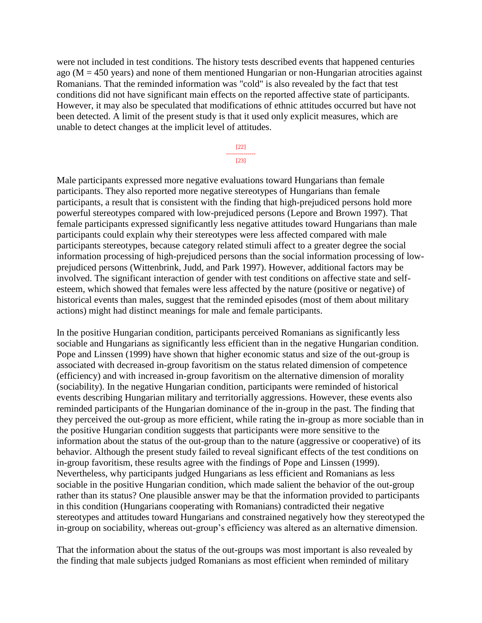were not included in test conditions. The history tests described events that happened centuries ago ( $M = 450$  years) and none of them mentioned Hungarian or non-Hungarian atrocities against Romanians. That the reminded information was "cold" is also revealed by the fact that test conditions did not have significant main effects on the reported affective state of participants. However, it may also be speculated that modifications of ethnic attitudes occurred but have not been detected. A limit of the present study is that it used only explicit measures, which are unable to detect changes at the implicit level of attitudes.

> [22] --------------- [23]

Male participants expressed more negative evaluations toward Hungarians than female participants. They also reported more negative stereotypes of Hungarians than female participants, a result that is consistent with the finding that high-prejudiced persons hold more powerful stereotypes compared with low-prejudiced persons (Lepore and Brown 1997). That female participants expressed significantly less negative attitudes toward Hungarians than male participants could explain why their stereotypes were less affected compared with male participants stereotypes, because category related stimuli affect to a greater degree the social information processing of high-prejudiced persons than the social information processing of lowprejudiced persons (Wittenbrink, Judd, and Park 1997). However, additional factors may be involved. The significant interaction of gender with test conditions on affective state and selfesteem, which showed that females were less affected by the nature (positive or negative) of historical events than males, suggest that the reminded episodes (most of them about military actions) might had distinct meanings for male and female participants.

In the positive Hungarian condition, participants perceived Romanians as significantly less sociable and Hungarians as significantly less efficient than in the negative Hungarian condition. Pope and Linssen (1999) have shown that higher economic status and size of the out-group is associated with decreased in-group favoritism on the status related dimension of competence (efficiency) and with increased in-group favoritism on the alternative dimension of morality (sociability). In the negative Hungarian condition, participants were reminded of historical events describing Hungarian military and territorially aggressions. However, these events also reminded participants of the Hungarian dominance of the in-group in the past. The finding that they perceived the out-group as more efficient, while rating the in-group as more sociable than in the positive Hungarian condition suggests that participants were more sensitive to the information about the status of the out-group than to the nature (aggressive or cooperative) of its behavior. Although the present study failed to reveal significant effects of the test conditions on in-group favoritism, these results agree with the findings of Pope and Linssen (1999). Nevertheless, why participants judged Hungarians as less efficient and Romanians as less sociable in the positive Hungarian condition, which made salient the behavior of the out-group rather than its status? One plausible answer may be that the information provided to participants in this condition (Hungarians cooperating with Romanians) contradicted their negative stereotypes and attitudes toward Hungarians and constrained negatively how they stereotyped the in-group on sociability, whereas out-group's efficiency was altered as an alternative dimension.

That the information about the status of the out-groups was most important is also revealed by the finding that male subjects judged Romanians as most efficient when reminded of military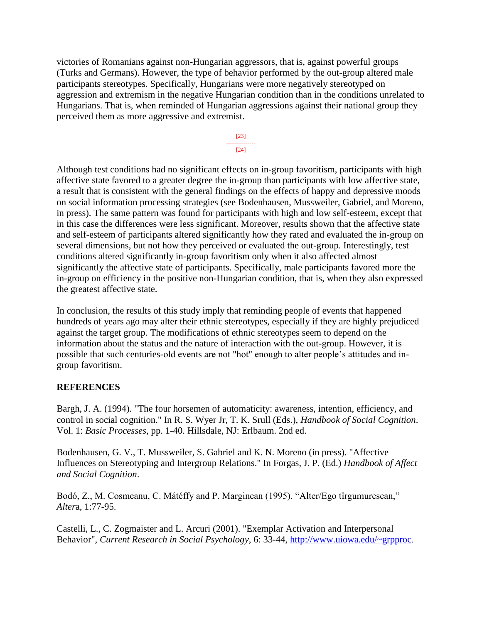victories of Romanians against non-Hungarian aggressors, that is, against powerful groups (Turks and Germans). However, the type of behavior performed by the out-group altered male participants stereotypes. Specifically, Hungarians were more negatively stereotyped on aggression and extremism in the negative Hungarian condition than in the conditions unrelated to Hungarians. That is, when reminded of Hungarian aggressions against their national group they perceived them as more aggressive and extremist.



Although test conditions had no significant effects on in-group favoritism, participants with high affective state favored to a greater degree the in-group than participants with low affective state, a result that is consistent with the general findings on the effects of happy and depressive moods on social information processing strategies (see Bodenhausen, Mussweiler, Gabriel, and Moreno, in press). The same pattern was found for participants with high and low self-esteem, except that in this case the differences were less significant. Moreover, results shown that the affective state and self-esteem of participants altered significantly how they rated and evaluated the in-group on several dimensions, but not how they perceived or evaluated the out-group. Interestingly, test conditions altered significantly in-group favoritism only when it also affected almost significantly the affective state of participants. Specifically, male participants favored more the in-group on efficiency in the positive non-Hungarian condition, that is, when they also expressed the greatest affective state.

In conclusion, the results of this study imply that reminding people of events that happened hundreds of years ago may alter their ethnic stereotypes, especially if they are highly prejudiced against the target group. The modifications of ethnic stereotypes seem to depend on the information about the status and the nature of interaction with the out-group. However, it is possible that such centuries-old events are not "hot" enough to alter people's attitudes and ingroup favoritism.

# **REFERENCES**

Bargh, J. A. (1994). "The four horsemen of automaticity: awareness, intention, efficiency, and control in social cognition." In R. S. Wyer Jr, T. K. Srull (Eds.), *Handbook of Social Cognition*. Vol. 1: *Basic Processes*, pp. 1-40. Hillsdale, NJ: Erlbaum. 2nd ed.

Bodenhausen, G. V., T. Mussweiler, S. Gabriel and K. N. Moreno (in press). "Affective Influences on Stereotyping and Intergroup Relations." In Forgas, J. P. (Ed.) *Handbook of Affect and Social Cognition*.

Bodó, Z., M. Cosmeanu, C. Mátéffy and P. Marginean (1995). "Alter/Ego tîrgumuresean," *Alter*a, 1:77-95.

Castelli, L., C. Zogmaister and L. Arcuri (2001). "Exemplar Activation and Interpersonal Behavior", *Current Research in Social Psychology*, 6: 33-44,<http://www.uiowa.edu/~grpproc>.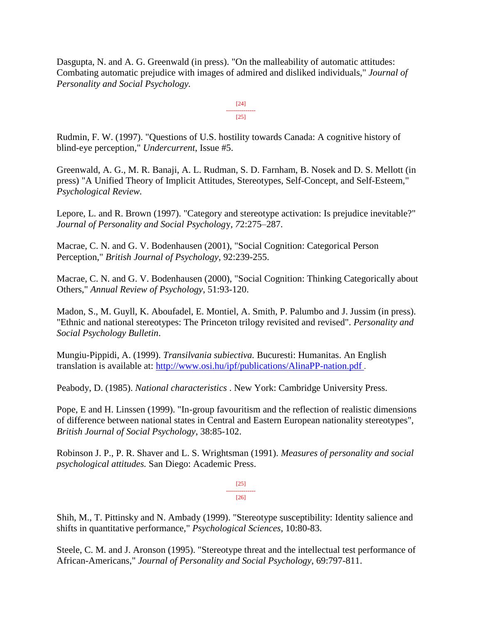Dasgupta, N. and A. G. Greenwald (in press). "On the malleability of automatic attitudes: Combating automatic prejudice with images of admired and disliked individuals," *Journal of Personality and Social Psychology.*

> [24] ---------------  $[25]$

Rudmin, F. W. (1997). "Questions of U.S. hostility towards Canada: A cognitive history of blind-eye perception," *Undercurrent*, Issue #5.

Greenwald, A. G., M. R. Banaji, A. L. Rudman, S. D. Farnham, B. Nosek and D. S. Mellott (in press) "A Unified Theory of Implicit Attitudes, Stereotypes, Self-Concept, and Self-Esteem," *Psychological Review.*

Lepore, L. and R. Brown (1997). "Category and stereotype activation: Is prejudice inevitable?" *Journal of Personality and Social Psycholog*y, *7*2:275–287.

Macrae, C. N. and G. V. Bodenhausen (2001), "Social Cognition: Categorical Person Perception," *British Journal of Psychology*, 92:239-255.

Macrae, C. N. and G. V. Bodenhausen (2000), "Social Cognition: Thinking Categorically about Others," *Annual Review of Psychology*, 51:93-120.

Madon, S., M. Guyll, K. Aboufadel, E. Montiel, A. Smith, P. Palumbo and J. Jussim (in press). "Ethnic and national stereotypes: The Princeton trilogy revisited and revised". *Personality and Social Psychology Bulletin*.

Mungiu-Pippidi, A. (1999). *Transilvania subiectiva.* Bucuresti: Humanitas. An English translation is available at:<http://www.osi.hu/ipf/publications/AlinaPP-nation.pdf> .

Peabody, D. (1985). *National characteristics* . New York: Cambridge University Press.

Pope, E and H. Linssen (1999). "In-group favouritism and the reflection of realistic dimensions of difference between national states in Central and Eastern European nationality stereotypes", *British Journal of Social Psychology*, 38:85-102.

Robinson J. P., P. R. Shaver and L. S. Wrightsman (1991). *Measures of personality and social psychological attitudes.* San Diego: Academic Press.

> [25] --------------- [26]

Shih, M., T. Pittinsky and N. Ambady (1999). "Stereotype susceptibility: Identity salience and shifts in quantitative performance," *Psychological Sciences*, 10:80-83.

Steele, C. M. and J. Aronson (1995). "Stereotype threat and the intellectual test performance of African-Americans," *Journal of Personality and Social Psychology*, 69:797-811.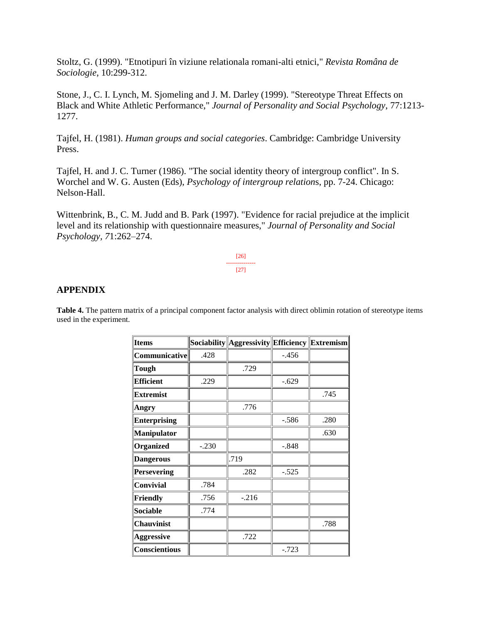Stoltz, G. (1999). "Etnotipuri în viziune relationala romani-alti etnici," *Revista Româna de Sociologie*, 10:299-312.

Stone, J., C. I. Lynch, M. Sjomeling and J. M. Darley (1999). "Stereotype Threat Effects on Black and White Athletic Performance," *Journal of Personality and Social Psychology*, 77:1213- 1277.

Tajfel, H. (1981). *Human groups and social categories*. Cambridge: Cambridge University Press.

Tajfel, H. and J. C. Turner (1986). "The social identity theory of intergroup conflict". In S. Worchel and W. G. Austen (Eds), *Psychology of intergroup relation*s, pp. 7-24. Chicago: Nelson-Hall.

Wittenbrink, B., C. M. Judd and B. Park (1997). "Evidence for racial prejudice at the implicit level and its relationship with questionnaire measures," *Journal of Personality and Social Psychology, 7*1:262–274.

> [26] --------------- [27]

#### **APPENDIX**

**Table 4.** The pattern matrix of a principal component factor analysis with direct oblimin rotation of stereotype items used in the experiment.

| <b>Items</b>         |         | Sociability    Aggressivity    Efficiency    Extremism |         |      |
|----------------------|---------|--------------------------------------------------------|---------|------|
| <b>Communicative</b> | .428    |                                                        | $-.456$ |      |
| Tough                |         | .729                                                   |         |      |
| <b>Efficient</b>     | .229    |                                                        | $-.629$ |      |
| <b>Extremist</b>     |         |                                                        |         | .745 |
| Angry                |         | .776                                                   |         |      |
| <b>Enterprising</b>  |         |                                                        | $-.586$ | .280 |
| Manipulator          |         |                                                        |         | .630 |
| Organized            | $-.230$ |                                                        | $-.848$ |      |
| <b>Dangerous</b>     |         | .719                                                   |         |      |
| <b>Persevering</b>   |         | .282                                                   | $-.525$ |      |
| Convivial            | .784    |                                                        |         |      |
| Friendly             | .756    | $-.216$                                                |         |      |
| <b>Sociable</b>      | .774    |                                                        |         |      |
| <b>Chauvinist</b>    |         |                                                        |         | .788 |
| <b>Aggressive</b>    |         | .722                                                   |         |      |
| <b>Conscientious</b> |         |                                                        | $-.723$ |      |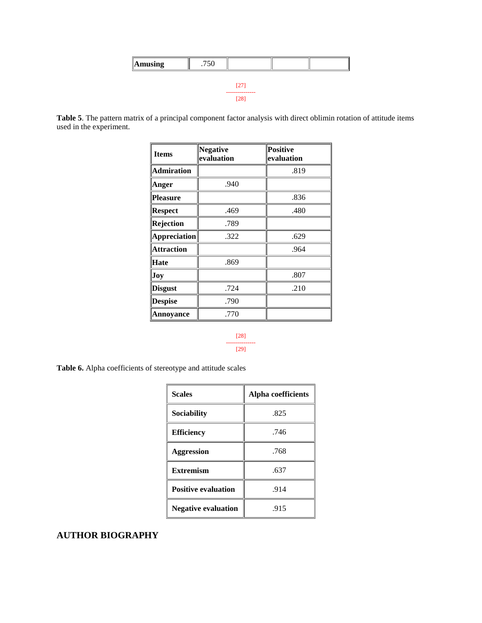| $\parallel$ Amusing | .750 |                    |  |
|---------------------|------|--------------------|--|
|                     |      |                    |  |
|                     |      | 27<br>------------ |  |
|                     |      | (28)               |  |

**Table 5**. The pattern matrix of a principal component factor analysis with direct oblimin rotation of attitude items used in the experiment.

| <b>Items</b>        | <b>Negative</b><br>evaluation | <b>Positive</b><br>evaluation |
|---------------------|-------------------------------|-------------------------------|
| <b>Admiration</b>   |                               | .819                          |
| Anger               | .940                          |                               |
| <b>Pleasure</b>     |                               | .836                          |
| <b>Respect</b>      | .469                          | .480                          |
| Rejection           | .789                          |                               |
| <b>Appreciation</b> | .322                          | .629                          |
| <b>Attraction</b>   |                               | .964                          |
| Hate                | .869                          |                               |
| Joy                 |                               | .807                          |
| <b>Disgust</b>      | .724                          | .210                          |
| <b>Despise</b>      | .790                          |                               |
| Annoyance           | .770                          |                               |

#### [28] --------------- [29]

**Table 6.** Alpha coefficients of stereotype and attitude scales

| <b>Scales</b>              | Alpha coefficients |
|----------------------------|--------------------|
| Sociability                | .825               |
| <b>Efficiency</b>          | .746               |
| <b>Aggression</b>          | .768               |
| <b>Extremism</b>           | .637               |
| <b>Positive evaluation</b> | .914               |
| <b>Negative evaluation</b> | .915               |

# **AUTHOR BIOGRAPHY**